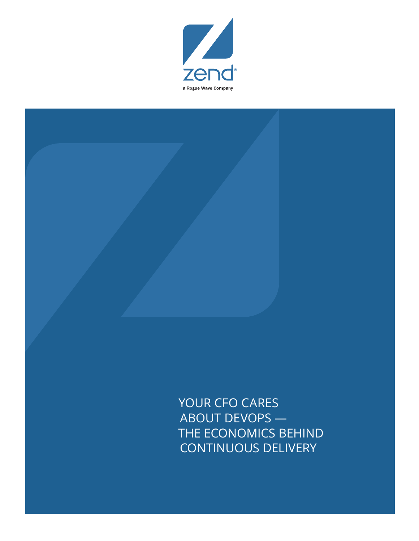

YOUR CFO CARES ABOUT DEVOPS — THE ECONOMICS BEHIND CONTINUOUS DELIVERY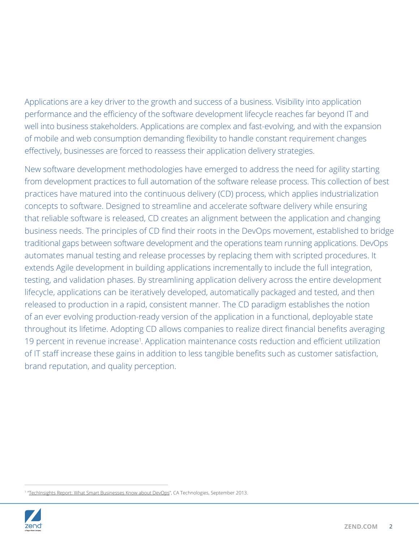Applications are a key driver to the growth and success of a business. Visibility into application performance and the efficiency of the software development lifecycle reaches far beyond IT and well into business stakeholders. Applications are complex and fast-evolving, and with the expansion of mobile and web consumption demanding flexibility to handle constant requirement changes effectively, businesses are forced to reassess their application delivery strategies.

New software development methodologies have emerged to address the need for agility starting from development practices to full automation of the software release process. This collection of best practices have matured into the continuous delivery (CD) process, which applies industrialization concepts to software. Designed to streamline and accelerate software delivery while ensuring that reliable software is released, CD creates an alignment between the application and changing business needs. The principles of CD find their roots in the DevOps movement, established to bridge traditional gaps between software development and the operations team running applications. DevOps automates manual testing and release processes by replacing them with scripted procedures. It extends Agile development in building applications incrementally to include the full integration, testing, and validation phases. By streamlining application delivery across the entire development lifecycle, applications can be iteratively developed, automatically packaged and tested, and then released to production in a rapid, consistent manner. The CD paradigm establishes the notion of an ever evolving production-ready version of the application in a functional, deployable state throughout its lifetime. Adopting CD allows companies to realize direct financial benefits averaging 19 percent in revenue increase<sup>1</sup>. Application maintenance costs reduction and efficient utilization of IT staff increase these gains in addition to less tangible benefits such as customer satisfaction, brand reputation, and quality perception.

<sup>&</sup>lt;sup>1</sup> "<u>TechInsights Report: What Smart Businesses Know about DevOps</u>", CA Technologies, September 2013.

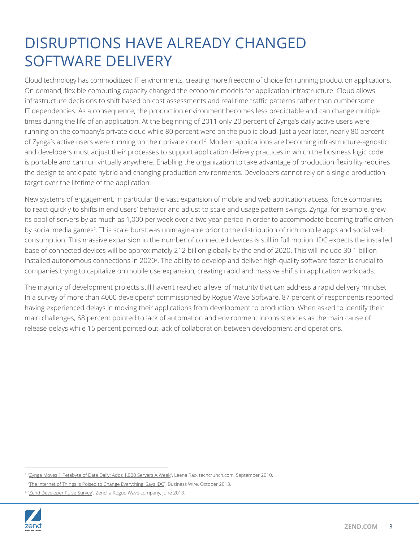### DISRUPTIONS HAVE ALREADY CHANGED SOFTWARE DELIVERY

Cloud technology has commoditized IT environments, creating more freedom of choice for running production applications. On demand, flexible computing capacity changed the economic models for application infrastructure. Cloud allows infrastructure decisions to shift based on cost assessments and real time traffic patterns rather than cumbersome IT dependencies. As a consequence, the production environment becomes less predictable and can change multiple times during the life of an application. At the beginning of 2011 only 20 percent of Zynga's daily active users were running on the company's private cloud while 80 percent were on the public cloud. Just a year later, nearly 80 percent of Zynga's active users were running on their private cloud<sup>2</sup>. Modern applications are becoming infrastructure-agnostic and developers must adjust their processes to support application delivery practices in which the business logic code is portable and can run virtually anywhere. Enabling the organization to take advantage of production flexibility requires the design to anticipate hybrid and changing production environments. Developers cannot rely on a single production target over the lifetime of the application.

New systems of engagement, in particular the vast expansion of mobile and web application access, force companies to react quickly to shifts in end users' behavior and adjust to scale and usage pattern swings. Zynga, for example, grew its pool of servers by as much as 1,000 per week over a two year period in order to accommodate booming traffic driven by social media games<sup>2</sup>. This scale burst was unimaginable prior to the distribution of rich mobile apps and social web consumption. This massive expansion in the number of connected devices is still in full motion. IDC expects the installed base of connected devices will be approximately 212 billion globally by the end of 2020. This will include 30.1 billion installed autonomous connections in 2020<sup>3</sup>. The ability to develop and deliver high-quality software faster is crucial to companies trying to capitalize on mobile use expansion, creating rapid and massive shifts in application workloads.

The majority of development projects still haven't reached a level of maturity that can address a rapid delivery mindset. In a survey of more than 4000 developers<sup>4</sup> commissioned by Rogue Wave Software, 87 percent of respondents reported having experienced delays in moving their applications from development to production. When asked to identify their main challenges, 68 percent pointed to lack of automation and environment inconsistencies as the main cause of release delays while 15 percent pointed out lack of collaboration between development and operations.

<sup>&</sup>lt;sup>4</sup> "[Zend Developer Pulse Survey](http://static.zend.com/topics/Zend-Developer-Pulse-report-Q2-2013-0523-EN.pdf)", Zend, a Rogue Wave company, June 2013.



<sup>&</sup>lt;sup>2</sup> "<u>[Zynga Moves 1 Petabyte of Data Daily; Adds 1,000 Servers A Week](http://techcrunch.com/2010/09/22/zynga-moves-1-petabyte-of-data-daily-adds-1000-servers-a-week/)</u>", Leena Rao, techcrunch.com, September 2010.

<sup>&</sup>lt;sup>3</sup> "<u>The Internet of Things Is Poised to Change Everything, Says IDC</u>", Business Wire, October 2013.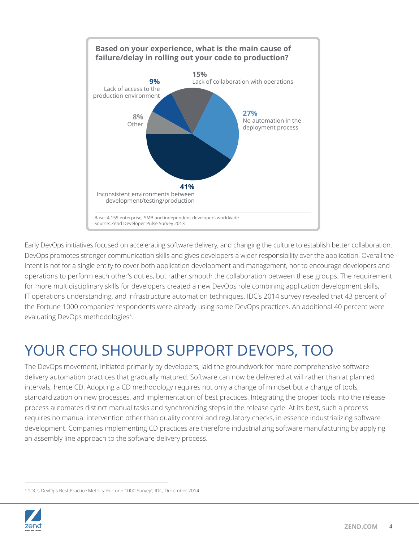

Early DevOps initiatives focused on accelerating software delivery, and changing the culture to establish better collaboration. DevOps promotes stronger communication skills and gives developers a wider responsibility over the application. Overall the intent is not for a single entity to cover both application development and management, nor to encourage developers and operations to perform each other's duties, but rather smooth the collaboration between these groups. The requirement for more multidisciplinary skills for developers created a new DevOps role combining application development skills, IT operations understanding, and infrastructure automation techniques. IDC's 2014 survey revealed that 43 percent of the Fortune 1000 companies' respondents were already using some DevOps practices. An additional 40 percent were evaluating DevOps methodologies<sup>5</sup>.

# YOUR CFO SHOULD SUPPORT DEVOPS, TOO

The DevOps movement, initiated primarily by developers, laid the groundwork for more comprehensive software delivery automation practices that gradually matured. Software can now be delivered at will rather than at planned intervals, hence CD. Adopting a CD methodology requires not only a change of mindset but a change of tools, standardization on new processes, and implementation of best practices. Integrating the proper tools into the release process automates distinct manual tasks and synchronizing steps in the release cycle. At its best, such a process requires no manual intervention other than quality control and regulatory checks, in essence industrializing software development. Companies implementing CD practices are therefore industrializing software manufacturing by applying an assembly line approach to the software delivery process.

<sup>&</sup>lt;sup>5</sup> "IDC's DevOps Best Practice Metrics: Fortune 1000 Survey", IDC, December 2014.

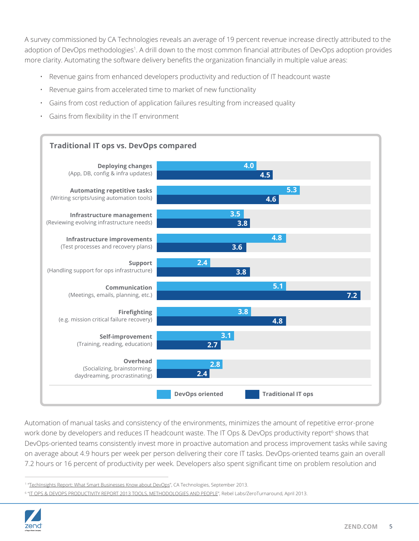A survey commissioned by CA Technologies reveals an average of 19 percent revenue increase directly attributed to the adoption of DevOps methodologies<sup>1</sup>. A drill down to the most common financial attributes of DevOps adoption provides more clarity. Automating the software delivery benefits the organization financially in multiple value areas:

- Revenue gains from enhanced developers productivity and reduction of IT headcount waste
- Revenue gains from accelerated time to market of new functionality
- Gains from cost reduction of application failures resulting from increased quality
- Gains from flexibility in the IT environment



Automation of manual tasks and consistency of the environments, minimizes the amount of repetitive error-prone work done by developers and reduces IT headcount waste. The IT Ops & DevOps productivity report<sup>6</sup> shows that DevOps-oriented teams consistently invest more in proactive automation and process improvement tasks while saving on average about 4.9 hours per week per person delivering their core IT tasks. DevOps-oriented teams gain an overall 7.2 hours or 16 percent of productivity per week. Developers also spent significant time on problem resolution and

<sup>&</sup>lt;sup>6</sup> "<u>[IT OPS & DEVOPS PRODUCTIVITY REPORT 2013 TOOLS, METHODOLOGIES AND PEOPLE](http://zeroturnaround.com/rebellabs/rebel-labs-release-it-ops-devops-productivity-report-2013/)</u>", Rebel Labs/ZeroTurnaround, April 2013.



<sup>&</sup>lt;sup>1</sup> "<u>[TechInsights Report: What Smart Businesses Know about DevOps](https://www.ca.com/us/register/forms/collateral/techinsights-report-what-smart-businesses-know-about-devops.aspx)</u>", CA Technologies, September 2013.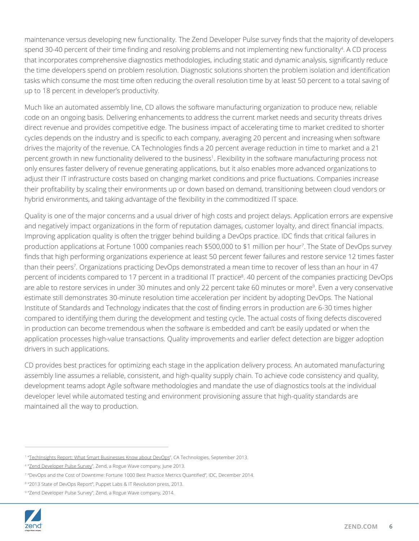maintenance versus developing new functionality. The Zend Developer Pulse survey finds that the majority of developers spend 30-40 percent of their time finding and resolving problems and not implementing new functionality<sup>4</sup>. A CD process that incorporates comprehensive diagnostics methodologies, including static and dynamic analysis, significantly reduce the time developers spend on problem resolution. Diagnostic solutions shorten the problem isolation and identification tasks which consume the most time often reducing the overall resolution time by at least 50 percent to a total saving of up to 18 percent in developer's productivity.

Much like an automated assembly line, CD allows the software manufacturing organization to produce new, reliable code on an ongoing basis. Delivering enhancements to address the current market needs and security threats drives direct revenue and provides competitive edge. The business impact of accelerating time to market credited to shorter cycles depends on the industry and is specific to each company, averaging 20 percent and increasing when software drives the majority of the revenue. CA Technologies finds a 20 percent average reduction in time to market and a 21 percent growth in new functionality delivered to the business<sup>1</sup>. Flexibility in the software manufacturing process not only ensures faster delivery of revenue generating applications, but it also enables more advanced organizations to adjust their IT infrastructure costs based on changing market conditions and price fluctuations. Companies increase their profitability by scaling their environments up or down based on demand, transitioning between cloud vendors or hybrid environments, and taking advantage of the flexibility in the commoditized IT space.

Quality is one of the major concerns and a usual driver of high costs and project delays. Application errors are expensive and negatively impact organizations in the form of reputation damages, customer loyalty, and direct financial impacts. Improving application quality is often the trigger behind building a DevOps practice. IDC finds that critical failures in production applications at Fortune 1000 companies reach \$500,000 to \$1 million per hour7 . The State of DevOps survey finds that high performing organizations experience at least 50 percent fewer failures and restore service 12 times faster than their peers<sup>7</sup>. Organizations practicing DevOps demonstrated a mean time to recover of less than an hour in 47 percent of incidents compared to 17 percent in a traditional IT practice<sup>8</sup>. 40 percent of the companies practicing DevOps are able to restore services in under 30 minutes and only 22 percent take 60 minutes or more<sup>9</sup>. Even a very conservative estimate still demonstrates 30-minute resolution time acceleration per incident by adopting DevOps. The National Institute of Standards and Technology indicates that the cost of finding errors in production are 6-30 times higher compared to identifying them during the development and testing cycle. The actual costs of fixing defects discovered in production can become tremendous when the software is embedded and can't be easily updated or when the application processes high-value transactions. Quality improvements and earlier defect detection are bigger adoption drivers in such applications.

CD provides best practices for optimizing each stage in the application delivery process. An automated manufacturing assembly line assumes a reliable, consistent, and high-quality supply chain. To achieve code consistency and quality, development teams adopt Agile software methodologies and mandate the use of diagnostics tools at the individual developer level while automated testing and environment provisioning assure that high-quality standards are maintained all the way to production.

<sup>9</sup> "Zend Developer Pulse Survey", Zend, a Rogue Wave company, 2014.



<sup>&</sup>lt;sup>1</sup> "[TechInsights Report: What Smart Businesses Know about DevOps](https://www.ca.com/us/register/forms/collateral/techinsights-report-what-smart-businesses-know-about-devops.aspx)", CA Technologies, September 2013.

<sup>&</sup>lt;sup>4</sup> "<u>[Zend Developer Pulse Survey](http://static.zend.com/topics/Zend-Developer-Pulse-report-Q2-2013-0523-EN.pdf)</u>", Zend, a Rogue Wave company, June 2013.

<sup>7</sup> "DevOps and the Cost of Downtime: Fortune 1000 Best Practice Metrics Quantified", IDC, December 2014.

<sup>8</sup> "2013 State of DevOps Report", Puppet Labs & IT Revolution press, 2013.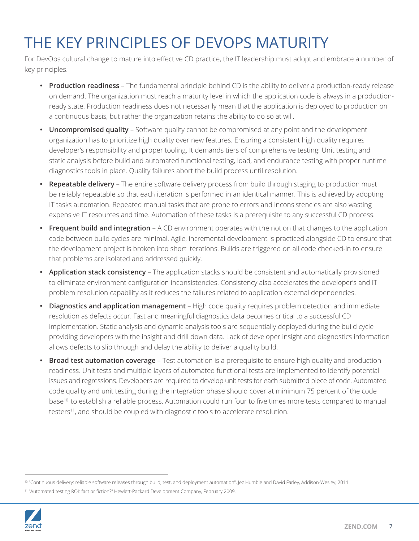# THE KEY PRINCIPLES OF DEVOPS MATURITY

For DevOps cultural change to mature into effective CD practice, the IT leadership must adopt and embrace a number of key principles.

- **• Production readiness** The fundamental principle behind CD is the ability to deliver a production-ready release on demand. The organization must reach a maturity level in which the application code is always in a productionready state. Production readiness does not necessarily mean that the application is deployed to production on a continuous basis, but rather the organization retains the ability to do so at will.
- **• Uncompromised quality** Software quality cannot be compromised at any point and the development organization has to prioritize high quality over new features. Ensuring a consistent high quality requires developer's responsibility and proper tooling. It demands tiers of comprehensive testing: Unit testing and static analysis before build and automated functional testing, load, and endurance testing with proper runtime diagnostics tools in place. Quality failures abort the build process until resolution.
- **• Repeatable delivery** The entire software delivery process from build through staging to production must be reliably repeatable so that each iteration is performed in an identical manner. This is achieved by adopting IT tasks automation. Repeated manual tasks that are prone to errors and inconsistencies are also wasting expensive IT resources and time. Automation of these tasks is a prerequisite to any successful CD process.
- **• Frequent build and integration** A CD environment operates with the notion that changes to the application code between build cycles are minimal. Agile, incremental development is practiced alongside CD to ensure that the development project is broken into short iterations. Builds are triggered on all code checked-in to ensure that problems are isolated and addressed quickly.
- **• Application stack consistency** The application stacks should be consistent and automatically provisioned to eliminate environment configuration inconsistencies. Consistency also accelerates the developer's and IT problem resolution capability as it reduces the failures related to application external dependencies.
- **• Diagnostics and application management**  High code quality requires problem detection and immediate resolution as defects occur. Fast and meaningful diagnostics data becomes critical to a successful CD implementation. Static analysis and dynamic analysis tools are sequentially deployed during the build cycle providing developers with the insight and drill down data. Lack of developer insight and diagnostics information allows defects to slip through and delay the ability to deliver a quality build.
- **• Broad test automation coverage** Test automation is a prerequisite to ensure high quality and production readiness. Unit tests and multiple layers of automated functional tests are implemented to identify potential issues and regressions. Developers are required to develop unit tests for each submitted piece of code. Automated code quality and unit testing during the integration phase should cover at minimum 75 percent of the code base10 to establish a reliable process. Automation could run four to five times more tests compared to manual testers<sup>11</sup>, and should be coupled with diagnostic tools to accelerate resolution.

<sup>11</sup> "Automated testing ROI: fact or fiction?" Hewlett-Packard Development Company, February 2009.



<sup>&</sup>lt;sup>10</sup> "Continuous delivery: reliable software releases through build, test, and deployment automation", Jez Humble and David Farley, Addison-Wesley, 2011.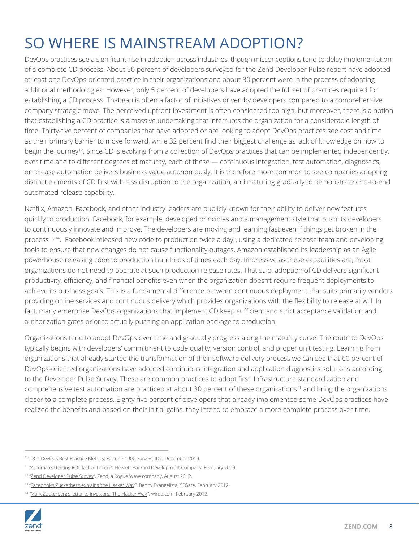# SO WHERE IS MAINSTREAM ADOPTION?

DevOps practices see a significant rise in adoption across industries, though misconceptions tend to delay implementation of a complete CD process. About 50 percent of developers surveyed for the Zend Developer Pulse report have adopted at least one DevOps-oriented practice in their organizations and about 30 percent were in the process of adopting additional methodologies. However, only 5 percent of developers have adopted the full set of practices required for establishing a CD process. That gap is often a factor of initiatives driven by developers compared to a comprehensive company strategic move. The perceived upfront investment is often considered too high, but moreover, there is a notion that establishing a CD practice is a massive undertaking that interrupts the organization for a considerable length of time. Thirty-five percent of companies that have adopted or are looking to adopt DevOps practices see cost and time as their primary barrier to move forward, while 32 percent find their biggest challenge as lack of knowledge on how to begin the journey<sup>12</sup>. Since CD is evolving from a collection of DevOps practices that can be implemented independently, over time and to different degrees of maturity, each of these — continuous integration, test automation, diagnostics, or release automation delivers business value autonomously. It is therefore more common to see companies adopting distinct elements of CD first with less disruption to the organization, and maturing gradually to demonstrate end-to-end automated release capability.

Netflix, Amazon, Facebook, and other industry leaders are publicly known for their ability to deliver new features quickly to production. Facebook, for example, developed principles and a management style that push its developers to continuously innovate and improve. The developers are moving and learning fast even if things get broken in the process<sup>13, 14</sup>. Facebook released new code to production twice a day<sup>5</sup>, using a dedicated release team and developing tools to ensure that new changes do not cause functionality outages. Amazon established its leadership as an Agile powerhouse releasing code to production hundreds of times each day. Impressive as these capabilities are, most organizations do not need to operate at such production release rates. That said, adoption of CD delivers significant productivity, efficiency, and financial benefits even when the organization doesn't require frequent deployments to achieve its business goals. This is a fundamental difference between continuous deployment that suits primarily vendors providing online services and continuous delivery which provides organizations with the flexibility to release at will. In fact, many enterprise DevOps organizations that implement CD keep sufficient and strict acceptance validation and authorization gates prior to actually pushing an application package to production.

Organizations tend to adopt DevOps over time and gradually progress along the maturity curve. The route to DevOps typically begins with developers' commitment to code quality, version control, and proper unit testing. Learning from organizations that already started the transformation of their software delivery process we can see that 60 percent of DevOps-oriented organizations have adopted continuous integration and application diagnostics solutions according to the Developer Pulse Survey. These are common practices to adopt first. Infrastructure standardization and comprehensive test automation are practiced at about 30 percent of these organizations<sup>11</sup> and bring the organizations closer to a complete process. Eighty-five percent of developers that already implemented some DevOps practices have realized the benefits and based on their initial gains, they intend to embrace a more complete process over time.

<sup>14 &</sup>quot;Mark Zuckerberg's letter to investors: The Hacker Way", wired.com, February 2012.



<sup>5</sup> "IDC's DevOps Best Practice Metrics: Fortune 1000 Survey", IDC, December 2014.

<sup>11</sup> "Automated testing ROI: fact or fiction?" Hewlett-Packard Development Company, February 2009.

<sup>&</sup>lt;sup>12</sup> "[Zend Developer Pulse Survey"](http://static.zend.com/topics/zend-developer-pulse-survey-report-Q2-2012-0612-EN.pdf), Zend, a Rogue Wave company, August 2012.

<sup>13 &</sup>quot;Eacebook's Zuckerberg explains 'the Hacker Way", Benny Evangelista, SFGate, February 2012.